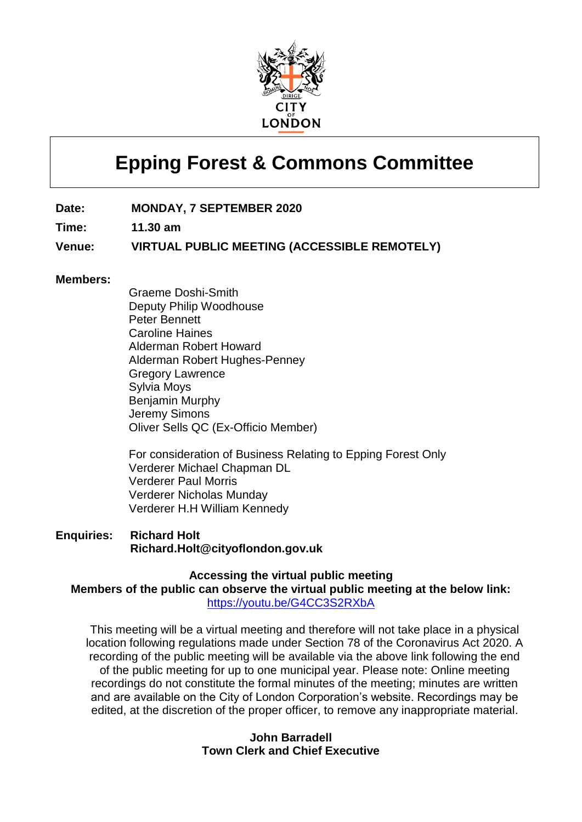

# **Epping Forest & Commons Committee**

**Date: MONDAY, 7 SEPTEMBER 2020**

**Time: 11.30 am**

**Venue: VIRTUAL PUBLIC MEETING (ACCESSIBLE REMOTELY)**

#### **Members:**

Graeme Doshi-Smith Deputy Philip Woodhouse Peter Bennett Caroline Haines Alderman Robert Howard Alderman Robert Hughes-Penney Gregory Lawrence Sylvia Moys Benjamin Murphy Jeremy Simons Oliver Sells QC (Ex-Officio Member)

For consideration of Business Relating to Epping Forest Only Verderer Michael Chapman DL Verderer Paul Morris Verderer Nicholas Munday Verderer H.H William Kennedy

**Enquiries: Richard Holt Richard.Holt@cityoflondon.gov.uk**

**Accessing the virtual public meeting Members of the public can observe the virtual public meeting at the below link:** <https://youtu.be/G4CC3S2RXbA>

This meeting will be a virtual meeting and therefore will not take place in a physical location following regulations made under Section 78 of the Coronavirus Act 2020. A recording of the public meeting will be available via the above link following the end of the public meeting for up to one municipal year. Please note: Online meeting recordings do not constitute the formal minutes of the meeting; minutes are written and are available on the City of London Corporation's website. Recordings may be edited, at the discretion of the proper officer, to remove any inappropriate material.

#### **John Barradell Town Clerk and Chief Executive**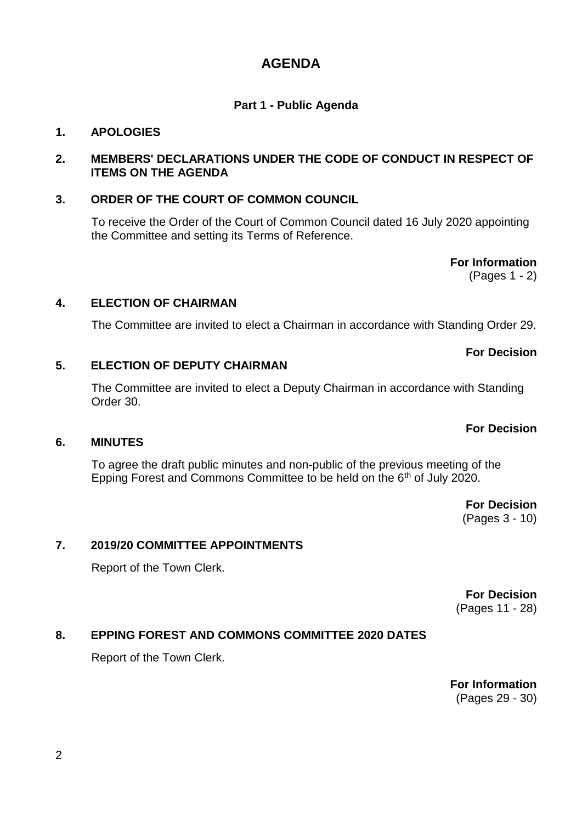# **AGENDA**

# **Part 1 - Public Agenda**

# **1. APOLOGIES**

# **2. MEMBERS' DECLARATIONS UNDER THE CODE OF CONDUCT IN RESPECT OF ITEMS ON THE AGENDA**

# **3. ORDER OF THE COURT OF COMMON COUNCIL**

To receive the Order of the Court of Common Council dated 16 July 2020 appointing the Committee and setting its Terms of Reference.

> **For Information** (Pages 1 - 2)

#### **4. ELECTION OF CHAIRMAN**

The Committee are invited to elect a Chairman in accordance with Standing Order 29.

# **5. ELECTION OF DEPUTY CHAIRMAN**

The Committee are invited to elect a Deputy Chairman in accordance with Standing Order 30.

#### **6. MINUTES**

To agree the draft public minutes and non-public of the previous meeting of the Epping Forest and Commons Committee to be held on the 6th of July 2020.

> **For Decision** (Pages 3 - 10)

# **7. 2019/20 COMMITTEE APPOINTMENTS**

Report of the Town Clerk.

**For Decision** (Pages 11 - 28)

#### **8. EPPING FOREST AND COMMONS COMMITTEE 2020 DATES**

Report of the Town Clerk.

**For Information** (Pages 29 - 30)

**For Decision**

**For Decision**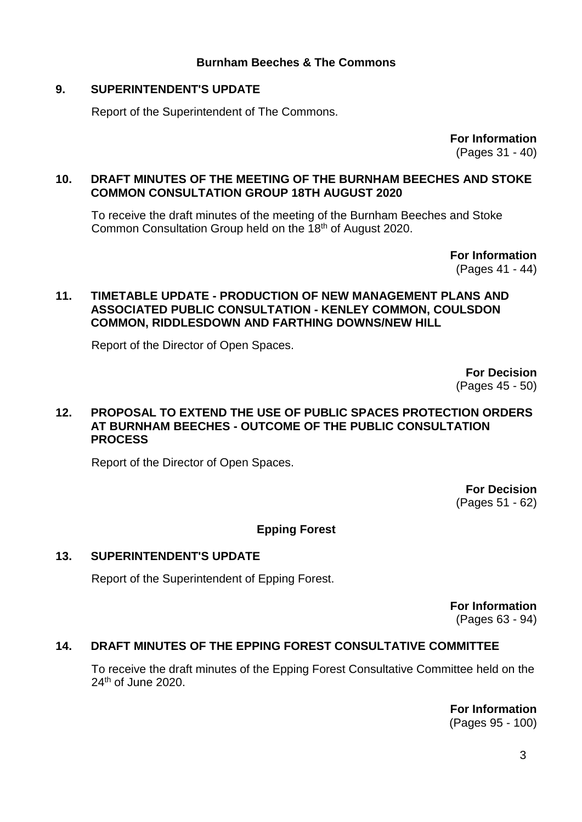# **Burnham Beeches & The Commons**

# **9. SUPERINTENDENT'S UPDATE**

Report of the Superintendent of The Commons.

**For Information**

(Pages 31 - 40)

#### **10. DRAFT MINUTES OF THE MEETING OF THE BURNHAM BEECHES AND STOKE COMMON CONSULTATION GROUP 18TH AUGUST 2020**

To receive the draft minutes of the meeting of the Burnham Beeches and Stoke Common Consultation Group held on the 18<sup>th</sup> of August 2020.

> **For Information** (Pages 41 - 44)

#### **11. TIMETABLE UPDATE - PRODUCTION OF NEW MANAGEMENT PLANS AND ASSOCIATED PUBLIC CONSULTATION - KENLEY COMMON, COULSDON COMMON, RIDDLESDOWN AND FARTHING DOWNS/NEW HILL**

Report of the Director of Open Spaces.

**For Decision** (Pages 45 - 50)

#### **12. PROPOSAL TO EXTEND THE USE OF PUBLIC SPACES PROTECTION ORDERS AT BURNHAM BEECHES - OUTCOME OF THE PUBLIC CONSULTATION PROCESS**

Report of the Director of Open Spaces.

**For Decision** (Pages 51 - 62)

# **Epping Forest**

#### **13. SUPERINTENDENT'S UPDATE**

Report of the Superintendent of Epping Forest.

**For Information** (Pages 63 - 94)

#### **14. DRAFT MINUTES OF THE EPPING FOREST CONSULTATIVE COMMITTEE**

To receive the draft minutes of the Epping Forest Consultative Committee held on the 24th of June 2020.

> **For Information** (Pages 95 - 100)